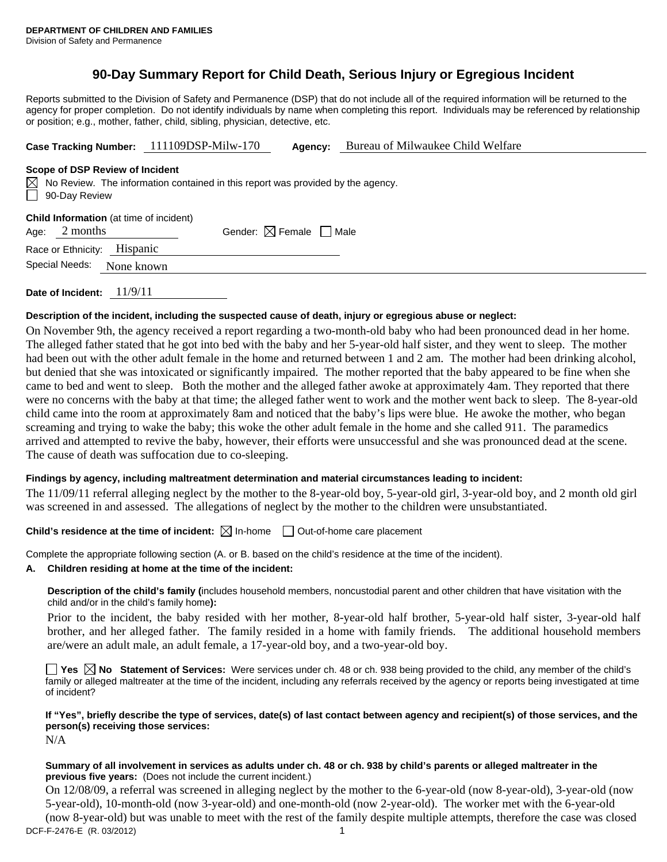# **90-Day Summary Report for Child Death, Serious Injury or Egregious Incident**

Reports submitted to the Division of Safety and Permanence (DSP) that do not include all of the required information will be returned to the agency for proper completion. Do not identify individuals by name when completing this report. Individuals may be referenced by relationship or position; e.g., mother, father, child, sibling, physician, detective, etc.

**Case Tracking Number:** 111109DSP-Milw-170 **Agency:** Bureau of Milwaukee Child Welfare

#### **Scope of DSP Review of Incident**

 $\boxtimes$  No Review. The information contained in this report was provided by the agency. 90-Day Review

|                             | <b>Child Information</b> (at time of incident) |                                        |  |
|-----------------------------|------------------------------------------------|----------------------------------------|--|
| Age: $2$ months             |                                                | Gender: $\boxtimes$ Female $\Box$ Male |  |
| Race or Ethnicity: Hispanic |                                                |                                        |  |
|                             | Special Needs: None known                      |                                        |  |
|                             |                                                |                                        |  |

**Date of Incident:** 11/9/11

### **Description of the incident, including the suspected cause of death, injury or egregious abuse or neglect:**

On November 9th, the agency received a report regarding a two-month-old baby who had been pronounced dead in her home. The alleged father stated that he got into bed with the baby and her 5-year-old half sister, and they went to sleep. The mother had been out with the other adult female in the home and returned between 1 and 2 am. The mother had been drinking alcohol, but denied that she was intoxicated or significantly impaired. The mother reported that the baby appeared to be fine when she came to bed and went to sleep. Both the mother and the alleged father awoke at approximately 4am. They reported that there were no concerns with the baby at that time; the alleged father went to work and the mother went back to sleep. The 8-year-old child came into the room at approximately 8am and noticed that the baby's lips were blue. He awoke the mother, who began screaming and trying to wake the baby; this woke the other adult female in the home and she called 911. The paramedics arrived and attempted to revive the baby, however, their efforts were unsuccessful and she was pronounced dead at the scene. The cause of death was suffocation due to co-sleeping.

## **Findings by agency, including maltreatment determination and material circumstances leading to incident:**

The 11/09/11 referral alleging neglect by the mother to the 8-year-old boy, 5-year-old girl, 3-year-old boy, and 2 month old girl was screened in and assessed. The allegations of neglect by the mother to the children were unsubstantiated.

**Child's residence at the time of incident:**  $\boxtimes$  In-home  $\Box$  Out-of-home care placement

Complete the appropriate following section (A. or B. based on the child's residence at the time of the incident).

## **A. Children residing at home at the time of the incident:**

**Description of the child's family (**includes household members, noncustodial parent and other children that have visitation with the child and/or in the child's family home**):** 

Prior to the incident, the baby resided with her mother, 8-year-old half brother, 5-year-old half sister, 3-year-old half brother, and her alleged father. The family resided in a home with family friends. The additional household members are/were an adult male, an adult female, a 17-year-old boy, and a two-year-old boy.

■ Yes **No** Statement of Services: Were services under ch. 48 or ch. 938 being provided to the child, any member of the child's family or alleged maltreater at the time of the incident, including any referrals received by the agency or reports being investigated at time of incident?

**If "Yes", briefly describe the type of services, date(s) of last contact between agency and recipient(s) of those services, and the person(s) receiving those services:**  N/A

### **Summary of all involvement in services as adults under ch. 48 or ch. 938 by child's parents or alleged maltreater in the previous five years:** (Does not include the current incident.)

DCF-F-2476-E (R. 03/2012) 1 On 12/08/09, a referral was screened in alleging neglect by the mother to the 6-year-old (now 8-year-old), 3-year-old (now 5-year-old), 10-month-old (now 3-year-old) and one-month-old (now 2-year-old). The worker met with the 6-year-old (now 8-year-old) but was unable to meet with the rest of the family despite multiple attempts, therefore the case was closed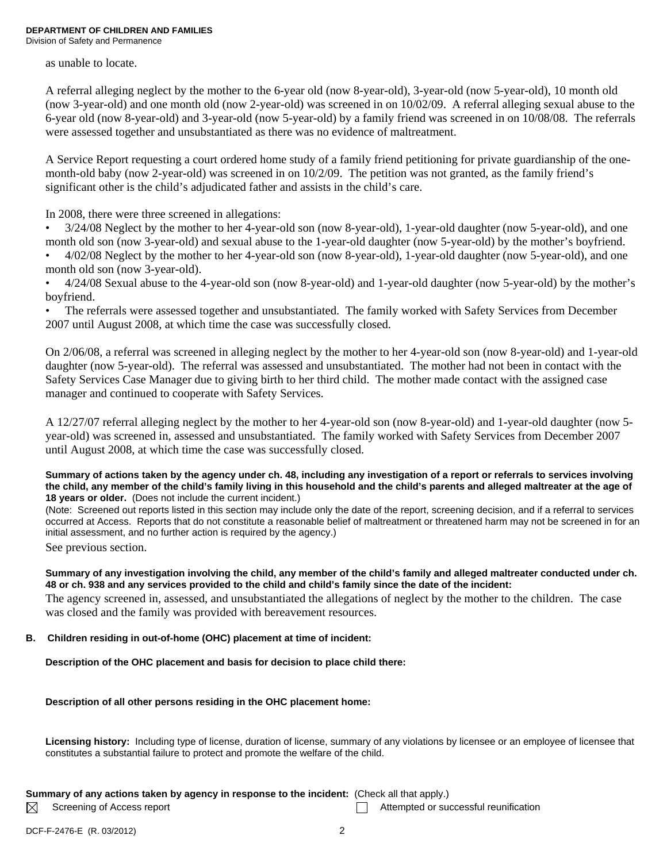as unable to locate.

A referral alleging neglect by the mother to the 6-year old (now 8-year-old), 3-year-old (now 5-year-old), 10 month old (now 3-year-old) and one month old (now 2-year-old) was screened in on 10/02/09. A referral alleging sexual abuse to the 6-year old (now 8-year-old) and 3-year-old (now 5-year-old) by a family friend was screened in on 10/08/08. The referrals were assessed together and unsubstantiated as there was no evidence of maltreatment.

A Service Report requesting a court ordered home study of a family friend petitioning for private guardianship of the onemonth-old baby (now 2-year-old) was screened in on 10/2/09. The petition was not granted, as the family friend's significant other is the child's adjudicated father and assists in the child's care.

In 2008, there were three screened in allegations:

• 3/24/08 Neglect by the mother to her 4-year-old son (now 8-year-old), 1-year-old daughter (now 5-year-old), and one month old son (now 3-year-old) and sexual abuse to the 1-year-old daughter (now 5-year-old) by the mother's boyfriend.

• 4/02/08 Neglect by the mother to her 4-year-old son (now 8-year-old), 1-year-old daughter (now 5-year-old), and one month old son (now 3-year-old).

• 4/24/08 Sexual abuse to the 4-year-old son (now 8-year-old) and 1-year-old daughter (now 5-year-old) by the mother's boyfriend.

• The referrals were assessed together and unsubstantiated. The family worked with Safety Services from December 2007 until August 2008, at which time the case was successfully closed.

On 2/06/08, a referral was screened in alleging neglect by the mother to her 4-year-old son (now 8-year-old) and 1-year-old daughter (now 5-year-old). The referral was assessed and unsubstantiated. The mother had not been in contact with the Safety Services Case Manager due to giving birth to her third child. The mother made contact with the assigned case manager and continued to cooperate with Safety Services.

A 12/27/07 referral alleging neglect by the mother to her 4-year-old son (now 8-year-old) and 1-year-old daughter (now 5 year-old) was screened in, assessed and unsubstantiated. The family worked with Safety Services from December 2007 until August 2008, at which time the case was successfully closed.

#### **Summary of actions taken by the agency under ch. 48, including any investigation of a report or referrals to services involving the child, any member of the child's family living in this household and the child's parents and alleged maltreater at the age of 18 years or older.** (Does not include the current incident.)

(Note: Screened out reports listed in this section may include only the date of the report, screening decision, and if a referral to services occurred at Access. Reports that do not constitute a reasonable belief of maltreatment or threatened harm may not be screened in for an initial assessment, and no further action is required by the agency.)

See previous section.

### **Summary of any investigation involving the child, any member of the child's family and alleged maltreater conducted under ch. 48 or ch. 938 and any services provided to the child and child's family since the date of the incident:**

The agency screened in, assessed, and unsubstantiated the allegations of neglect by the mother to the children. The case was closed and the family was provided with bereavement resources.

## **B. Children residing in out-of-home (OHC) placement at time of incident:**

**Description of the OHC placement and basis for decision to place child there:** 

## **Description of all other persons residing in the OHC placement home:**

**Licensing history:** Including type of license, duration of license, summary of any violations by licensee or an employee of licensee that constitutes a substantial failure to protect and promote the welfare of the child.

## **Summary of any actions taken by agency in response to the incident:** (Check all that apply.)

 $\boxtimes$ 

Screening of Access report Attempted or successful reunification